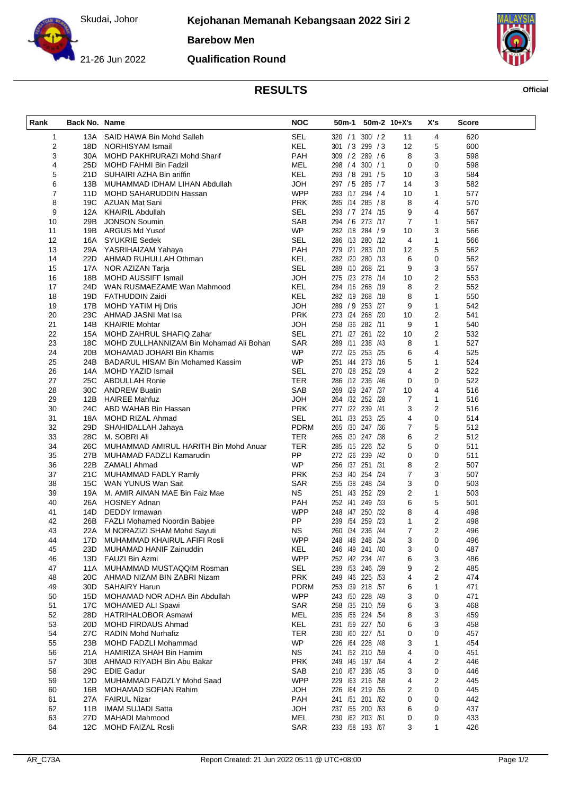Skudai, Johor

**Barebow Men**



**Qualification Round**



## **RESULTS Official**

| ٠<br>ł |
|--------|
|--------|

| SEL<br>1<br>13A SAID HAWA Bin Mohd Salleh<br>320 / 1 300 / 2<br>11<br>4<br>620<br>2<br>KEL<br>18D NORHISYAM Ismail<br>301 / 3 299 / 3<br>12<br>5<br>600<br>3<br>PAH<br>3<br>309 / 2 289 / 6<br>8<br>598<br>30A MOHD PAKHRURAZI Mohd Sharif<br>4<br><b>MEL</b><br>0<br>25D MOHD FAHMI Bin Fadzil<br>298 / 4 300 / 1<br>0<br>598<br>5<br>KEL<br>3<br>293 / 8 291 / 5<br>584<br>21D SUHAIRI AZHA Bin ariffin<br>10<br>6<br><b>JOH</b><br>3<br>582<br>297 / 5 285 / 7<br>13B MUHAMMAD IDHAM LIHAN Abdullah<br>14<br>$\overline{7}$<br><b>WPP</b><br>283 /17 294 / 4<br>10<br>1<br>577<br>11D MOHD SAHARUDDIN Hassan<br>8<br><b>PRK</b><br>285 /14 285 /8<br>8<br>4<br>570<br>19C AZUAN Mat Sani<br>9<br><b>SEL</b><br>12A KHAIRIL Abdullah<br>293 / 7 274 /15<br>9<br>4<br>567<br>SAB<br>7<br>10<br>294 / 6 273 /17<br>$\mathbf{1}$<br>567<br>29B<br><b>JONSON Soumin</b><br><b>WP</b><br>3<br>566<br>11<br>19B ARGUS Md Yusof<br>282 /18 284 / 9<br>10<br><b>SEL</b><br>12<br>16A SYUKRIE Sedek<br>286 /13 280 /12<br>$\mathbf{1}$<br>566<br>4<br>PAH<br>5<br>562<br>13<br>279 /21 283 /10<br>29A YASRIHAIZAM Yahaya<br>12<br><b>KEL</b><br>14<br>22D AHMAD RUHULLAH Othman<br>282 /20 280 /13<br>6<br>0<br>562<br><b>SEL</b><br>3<br>15<br>17A NOR AZIZAN Tarja<br>289 /10 268 /21<br>9<br>557<br><b>JOH</b><br>275 /23 278 /14<br>$\overline{\mathbf{c}}$<br>553<br>16<br>18B MOHD AUSSIFF Ismail<br>10<br><b>KEL</b><br>2<br>17<br>24D WAN RUSMAEZAME Wan Mahmood<br>284 /16 268 /19<br>8<br>552<br><b>KEL</b><br>$\mathbf{1}$<br>550<br>18<br>282 /19 268 /18<br>8<br>19D FATHUDDIN Zaidi<br><b>JOH</b><br>289 / 9 253 /27<br>$\mathbf{1}$<br>542<br>19<br>9<br>17B MOHD YATIM Hj Dris<br>2<br>541<br>20<br><b>PRK</b><br>273 /24 268 /20<br>23C AHMAD JASNI Mat Isa<br>10<br>$\mathbf{1}$<br>21<br>14B KHAIRIE Mohtar<br><b>HOL</b><br>258 /36 282 /11<br>9<br>540<br><b>SEL</b><br>271 /27 261 /22<br>$\overline{\mathbf{c}}$<br>532<br>22<br>15A MOHD ZAHRUL SHAFIQ Zahar<br>10<br>$\mathbf{1}$<br>23<br>18C MOHD ZULLHANNIZAM Bin Mohamad Ali Bohan<br>SAR<br>289 /11 238 /43<br>527<br>8<br><b>WP</b><br>272 /25 253 /25<br>6<br>525<br>24<br>4<br>20B MOHAMAD JOHARI Bin Khamis<br>251 /44 273 /16<br>5<br>25<br>WP<br>$\mathbf{1}$<br>524<br>24B BADARUL HISAM Bin Mohamed Kassim<br><b>SEL</b><br>2<br>26<br>270 /28 252 /29<br>4<br>522<br>14A MOHD YAZID Ismail<br>27<br><b>TER</b><br>0<br>522<br>25C ABDULLAH Ronie<br>286 /12 236 /46<br>0<br><b>SAB</b><br>269 /29 247 /37<br>28<br>30C ANDREW Buatin<br>10<br>4<br>516<br><b>JOH</b><br>29<br>12B HAIREE Mahfuz<br>264 /32 252 /28<br>7<br>$\mathbf{1}$<br>516<br><b>PRK</b><br>277 /22 239 /41<br>$\overline{2}$<br>516<br>30<br>24C ABD WAHAB Bin Hassan<br>3<br><b>SEL</b><br>261 /33 253 /25<br>0<br>31<br>4<br>514<br>18A MOHD RIZAL Ahmad<br><b>PDRM</b><br>5<br>512<br>32<br>265 /30 247 /36<br>$\overline{7}$<br>29D SHAHIDALLAH Jahaya<br>6<br>2<br>33<br>28C M. SOBRI Ali<br>TER<br>265 /30 247 /38<br>512<br>5<br>0<br>511<br>34<br>26C MUHAMMAD AMIRUL HARITH Bin Mohd Anuar<br>TER<br>285 /15 226 /52<br>PP<br>511<br>35<br>27B MUHAMAD FADZLI Kamarudin<br>272 /26 239 /42<br>0<br>0<br><b>WP</b><br>256 /37 251 /31<br>8<br>$\overline{2}$<br>36<br>22B ZAMALI Ahmad<br>507<br>7<br>3<br>37<br><b>PRK</b><br>253 /40 254 /24<br>507<br>21C MUHAMMAD FADLY Ramly<br>SAR<br>3<br>0<br>503<br>38<br>15C WAN YUNUS Wan Sait<br>255 /38 248 /34<br>2<br>$\mathbf{1}$<br>39<br>NS.<br>251 /43 252 /29<br>503<br>19A M. AMIR AIMAN MAE Bin Faiz Mae<br>40<br>26A HOSNEY Adnan<br><b>PAH</b><br>252 /41 249 /33<br>6<br>5<br>501<br>4<br>41<br>14D DEDDY Irmawan<br><b>WPP</b><br>248 /47 250 /32<br>8<br>498<br><b>PP</b><br>239 /54 259 /23<br>$\overline{2}$<br>42<br>1<br>498<br>26B FAZLI Mohamed Noordin Babjee<br><b>NS</b><br>2<br>496<br>43<br>22A M NORAZIZI SHAM Mohd Sayuti<br>260 /34 236 /44<br>7<br>17D MUHAMMAD KHAIRUL AFIFI Rosli<br><b>WPP</b><br>248 /48 248 /34<br>3<br>0<br>44<br>496<br>KEL<br>45<br>23D MUHAMAD HANIF Zainuddin<br>246 /49 241 /40<br>3<br>0<br>487<br>13D FAUZI Bin Azmi<br><b>WPP</b><br>252 /42 234 /47<br>6<br>3<br>486<br>46<br>SEL<br>2<br>11A MUHAMMAD MUSTAQQIM Rosman<br>239 /53 246 /39<br>9<br>485<br>47<br><b>PRK</b><br>20C AHMAD NIZAM BIN ZABRI Nizam<br>249 /46 225 /53<br>4<br>2<br>474<br>48<br>30D SAHAIRY Harun<br><b>PDRM</b><br>253 /39 218 /57<br>1<br>471<br>49<br>6<br><b>WPP</b><br>15D MOHAMAD NOR ADHA Bin Abdullah<br>243 /50 228 /49<br>3<br>0<br>471<br>50<br>258 /35 210 /59<br>51<br>17C MOHAMED ALI Spawi<br><b>SAR</b><br>6<br>3<br>468<br>8<br>3<br>52<br>28D HATRIHALOBOR Asmawi<br>MEL<br>235 /56 224 /54<br>459<br>KEL<br>3<br>53<br>20D MOHD FIRDAUS Ahmad<br>231 /59 227 /50<br>6<br>458<br>54<br>27C RADIN Mohd Nurhafiz<br>TER<br>230 /60 227 /51<br>0<br>457<br>0<br><b>WP</b><br>55<br>226 /64 228 /48<br>3<br>1<br>454<br>23B MOHD FADZLI Mohammad<br><b>NS</b><br>241 /52 210 /59<br>56<br>21A HAMIRIZA SHAH Bin Hamim<br>4<br>0<br>451<br>2<br>57<br><b>PRK</b><br>249 /45 197 /64<br>4<br>446<br>30B AHMAD RIYADH Bin Abu Bakar<br>58<br>29C EDIE Gadur<br>SAB<br>210 /67 236 /45<br>3<br>0<br>446<br>59<br>12D MUHAMMAD FADZLY Mohd Saad<br><b>WPP</b><br>229 /63 216 /58<br>4<br>2<br>445<br>16B MOHAMAD SOFIAN Rahim<br><b>HOL</b><br>226 /64 219 /55<br>0<br>445<br>60<br>2<br>27A FAIRUL Nizar<br>PAH<br>241 /51 201 /62<br>442<br>61<br>0<br>0<br><b>JOH</b><br>237 /55 200 /63<br>62<br>11B IMAM SUJADI Satta<br>6<br>0<br>437<br>MEL<br>230 /62 203 /61<br>63<br>27D MAHADI Mahmood<br>433<br>0<br>0<br>64<br>12C MOHD FAIZAL Rosli<br><b>SAR</b><br>233 /58 193 /67<br>3<br>1<br>426 | Rank | Back No. Name | <b>NOC</b> | 50m-1 50m-2 10+X's | X's | <b>Score</b> |  |
|---------------------------------------------------------------------------------------------------------------------------------------------------------------------------------------------------------------------------------------------------------------------------------------------------------------------------------------------------------------------------------------------------------------------------------------------------------------------------------------------------------------------------------------------------------------------------------------------------------------------------------------------------------------------------------------------------------------------------------------------------------------------------------------------------------------------------------------------------------------------------------------------------------------------------------------------------------------------------------------------------------------------------------------------------------------------------------------------------------------------------------------------------------------------------------------------------------------------------------------------------------------------------------------------------------------------------------------------------------------------------------------------------------------------------------------------------------------------------------------------------------------------------------------------------------------------------------------------------------------------------------------------------------------------------------------------------------------------------------------------------------------------------------------------------------------------------------------------------------------------------------------------------------------------------------------------------------------------------------------------------------------------------------------------------------------------------------------------------------------------------------------------------------------------------------------------------------------------------------------------------------------------------------------------------------------------------------------------------------------------------------------------------------------------------------------------------------------------------------------------------------------------------------------------------------------------------------------------------------------------------------------------------------------------------------------------------------------------------------------------------------------------------------------------------------------------------------------------------------------------------------------------------------------------------------------------------------------------------------------------------------------------------------------------------------------------------------------------------------------------------------------------------------------------------------------------------------------------------------------------------------------------------------------------------------------------------------------------------------------------------------------------------------------------------------------------------------------------------------------------------------------------------------------------------------------------------------------------------------------------------------------------------------------------------------------------------------------------------------------------------------------------------------------------------------------------------------------------------------------------------------------------------------------------------------------------------------------------------------------------------------------------------------------------------------------------------------------------------------------------------------------------------------------------------------------------------------------------------------------------------------------------------------------------------------------------------------------------------------------------------------------------------------------------------------------------------------------------------------------------------------------------------------------------------------------------------------------------------------------------------------------------------------------------------------------------------------------------------------------------------------------------------------------------------------------------------------------------------------------------------------------------------------------------------------------------------------------------------------------------------------------------------------------------------------------------------------------------------------------------------------------------------------------------------------------------------------------------------------------------------------------------------------------------------------------------------------------------------------------------------------------------------------------------------------------------------------------------------------------------------------------------------------------------------------------------------------------------------------------------------------------------------------------|------|---------------|------------|--------------------|-----|--------------|--|
|                                                                                                                                                                                                                                                                                                                                                                                                                                                                                                                                                                                                                                                                                                                                                                                                                                                                                                                                                                                                                                                                                                                                                                                                                                                                                                                                                                                                                                                                                                                                                                                                                                                                                                                                                                                                                                                                                                                                                                                                                                                                                                                                                                                                                                                                                                                                                                                                                                                                                                                                                                                                                                                                                                                                                                                                                                                                                                                                                                                                                                                                                                                                                                                                                                                                                                                                                                                                                                                                                                                                                                                                                                                                                                                                                                                                                                                                                                                                                                                                                                                                                                                                                                                                                                                                                                                                                                                                                                                                                                                                                                                                                                                                                                                                                                                                                                                                                                                                                                                                                                                                                                                                                                                                                                                                                                                                                                                                                                                                                                                                                                                                                                                               |      |               |            |                    |     |              |  |
|                                                                                                                                                                                                                                                                                                                                                                                                                                                                                                                                                                                                                                                                                                                                                                                                                                                                                                                                                                                                                                                                                                                                                                                                                                                                                                                                                                                                                                                                                                                                                                                                                                                                                                                                                                                                                                                                                                                                                                                                                                                                                                                                                                                                                                                                                                                                                                                                                                                                                                                                                                                                                                                                                                                                                                                                                                                                                                                                                                                                                                                                                                                                                                                                                                                                                                                                                                                                                                                                                                                                                                                                                                                                                                                                                                                                                                                                                                                                                                                                                                                                                                                                                                                                                                                                                                                                                                                                                                                                                                                                                                                                                                                                                                                                                                                                                                                                                                                                                                                                                                                                                                                                                                                                                                                                                                                                                                                                                                                                                                                                                                                                                                                               |      |               |            |                    |     |              |  |
|                                                                                                                                                                                                                                                                                                                                                                                                                                                                                                                                                                                                                                                                                                                                                                                                                                                                                                                                                                                                                                                                                                                                                                                                                                                                                                                                                                                                                                                                                                                                                                                                                                                                                                                                                                                                                                                                                                                                                                                                                                                                                                                                                                                                                                                                                                                                                                                                                                                                                                                                                                                                                                                                                                                                                                                                                                                                                                                                                                                                                                                                                                                                                                                                                                                                                                                                                                                                                                                                                                                                                                                                                                                                                                                                                                                                                                                                                                                                                                                                                                                                                                                                                                                                                                                                                                                                                                                                                                                                                                                                                                                                                                                                                                                                                                                                                                                                                                                                                                                                                                                                                                                                                                                                                                                                                                                                                                                                                                                                                                                                                                                                                                                               |      |               |            |                    |     |              |  |
|                                                                                                                                                                                                                                                                                                                                                                                                                                                                                                                                                                                                                                                                                                                                                                                                                                                                                                                                                                                                                                                                                                                                                                                                                                                                                                                                                                                                                                                                                                                                                                                                                                                                                                                                                                                                                                                                                                                                                                                                                                                                                                                                                                                                                                                                                                                                                                                                                                                                                                                                                                                                                                                                                                                                                                                                                                                                                                                                                                                                                                                                                                                                                                                                                                                                                                                                                                                                                                                                                                                                                                                                                                                                                                                                                                                                                                                                                                                                                                                                                                                                                                                                                                                                                                                                                                                                                                                                                                                                                                                                                                                                                                                                                                                                                                                                                                                                                                                                                                                                                                                                                                                                                                                                                                                                                                                                                                                                                                                                                                                                                                                                                                                               |      |               |            |                    |     |              |  |
|                                                                                                                                                                                                                                                                                                                                                                                                                                                                                                                                                                                                                                                                                                                                                                                                                                                                                                                                                                                                                                                                                                                                                                                                                                                                                                                                                                                                                                                                                                                                                                                                                                                                                                                                                                                                                                                                                                                                                                                                                                                                                                                                                                                                                                                                                                                                                                                                                                                                                                                                                                                                                                                                                                                                                                                                                                                                                                                                                                                                                                                                                                                                                                                                                                                                                                                                                                                                                                                                                                                                                                                                                                                                                                                                                                                                                                                                                                                                                                                                                                                                                                                                                                                                                                                                                                                                                                                                                                                                                                                                                                                                                                                                                                                                                                                                                                                                                                                                                                                                                                                                                                                                                                                                                                                                                                                                                                                                                                                                                                                                                                                                                                                               |      |               |            |                    |     |              |  |
|                                                                                                                                                                                                                                                                                                                                                                                                                                                                                                                                                                                                                                                                                                                                                                                                                                                                                                                                                                                                                                                                                                                                                                                                                                                                                                                                                                                                                                                                                                                                                                                                                                                                                                                                                                                                                                                                                                                                                                                                                                                                                                                                                                                                                                                                                                                                                                                                                                                                                                                                                                                                                                                                                                                                                                                                                                                                                                                                                                                                                                                                                                                                                                                                                                                                                                                                                                                                                                                                                                                                                                                                                                                                                                                                                                                                                                                                                                                                                                                                                                                                                                                                                                                                                                                                                                                                                                                                                                                                                                                                                                                                                                                                                                                                                                                                                                                                                                                                                                                                                                                                                                                                                                                                                                                                                                                                                                                                                                                                                                                                                                                                                                                               |      |               |            |                    |     |              |  |
|                                                                                                                                                                                                                                                                                                                                                                                                                                                                                                                                                                                                                                                                                                                                                                                                                                                                                                                                                                                                                                                                                                                                                                                                                                                                                                                                                                                                                                                                                                                                                                                                                                                                                                                                                                                                                                                                                                                                                                                                                                                                                                                                                                                                                                                                                                                                                                                                                                                                                                                                                                                                                                                                                                                                                                                                                                                                                                                                                                                                                                                                                                                                                                                                                                                                                                                                                                                                                                                                                                                                                                                                                                                                                                                                                                                                                                                                                                                                                                                                                                                                                                                                                                                                                                                                                                                                                                                                                                                                                                                                                                                                                                                                                                                                                                                                                                                                                                                                                                                                                                                                                                                                                                                                                                                                                                                                                                                                                                                                                                                                                                                                                                                               |      |               |            |                    |     |              |  |
|                                                                                                                                                                                                                                                                                                                                                                                                                                                                                                                                                                                                                                                                                                                                                                                                                                                                                                                                                                                                                                                                                                                                                                                                                                                                                                                                                                                                                                                                                                                                                                                                                                                                                                                                                                                                                                                                                                                                                                                                                                                                                                                                                                                                                                                                                                                                                                                                                                                                                                                                                                                                                                                                                                                                                                                                                                                                                                                                                                                                                                                                                                                                                                                                                                                                                                                                                                                                                                                                                                                                                                                                                                                                                                                                                                                                                                                                                                                                                                                                                                                                                                                                                                                                                                                                                                                                                                                                                                                                                                                                                                                                                                                                                                                                                                                                                                                                                                                                                                                                                                                                                                                                                                                                                                                                                                                                                                                                                                                                                                                                                                                                                                                               |      |               |            |                    |     |              |  |
|                                                                                                                                                                                                                                                                                                                                                                                                                                                                                                                                                                                                                                                                                                                                                                                                                                                                                                                                                                                                                                                                                                                                                                                                                                                                                                                                                                                                                                                                                                                                                                                                                                                                                                                                                                                                                                                                                                                                                                                                                                                                                                                                                                                                                                                                                                                                                                                                                                                                                                                                                                                                                                                                                                                                                                                                                                                                                                                                                                                                                                                                                                                                                                                                                                                                                                                                                                                                                                                                                                                                                                                                                                                                                                                                                                                                                                                                                                                                                                                                                                                                                                                                                                                                                                                                                                                                                                                                                                                                                                                                                                                                                                                                                                                                                                                                                                                                                                                                                                                                                                                                                                                                                                                                                                                                                                                                                                                                                                                                                                                                                                                                                                                               |      |               |            |                    |     |              |  |
|                                                                                                                                                                                                                                                                                                                                                                                                                                                                                                                                                                                                                                                                                                                                                                                                                                                                                                                                                                                                                                                                                                                                                                                                                                                                                                                                                                                                                                                                                                                                                                                                                                                                                                                                                                                                                                                                                                                                                                                                                                                                                                                                                                                                                                                                                                                                                                                                                                                                                                                                                                                                                                                                                                                                                                                                                                                                                                                                                                                                                                                                                                                                                                                                                                                                                                                                                                                                                                                                                                                                                                                                                                                                                                                                                                                                                                                                                                                                                                                                                                                                                                                                                                                                                                                                                                                                                                                                                                                                                                                                                                                                                                                                                                                                                                                                                                                                                                                                                                                                                                                                                                                                                                                                                                                                                                                                                                                                                                                                                                                                                                                                                                                               |      |               |            |                    |     |              |  |
|                                                                                                                                                                                                                                                                                                                                                                                                                                                                                                                                                                                                                                                                                                                                                                                                                                                                                                                                                                                                                                                                                                                                                                                                                                                                                                                                                                                                                                                                                                                                                                                                                                                                                                                                                                                                                                                                                                                                                                                                                                                                                                                                                                                                                                                                                                                                                                                                                                                                                                                                                                                                                                                                                                                                                                                                                                                                                                                                                                                                                                                                                                                                                                                                                                                                                                                                                                                                                                                                                                                                                                                                                                                                                                                                                                                                                                                                                                                                                                                                                                                                                                                                                                                                                                                                                                                                                                                                                                                                                                                                                                                                                                                                                                                                                                                                                                                                                                                                                                                                                                                                                                                                                                                                                                                                                                                                                                                                                                                                                                                                                                                                                                                               |      |               |            |                    |     |              |  |
|                                                                                                                                                                                                                                                                                                                                                                                                                                                                                                                                                                                                                                                                                                                                                                                                                                                                                                                                                                                                                                                                                                                                                                                                                                                                                                                                                                                                                                                                                                                                                                                                                                                                                                                                                                                                                                                                                                                                                                                                                                                                                                                                                                                                                                                                                                                                                                                                                                                                                                                                                                                                                                                                                                                                                                                                                                                                                                                                                                                                                                                                                                                                                                                                                                                                                                                                                                                                                                                                                                                                                                                                                                                                                                                                                                                                                                                                                                                                                                                                                                                                                                                                                                                                                                                                                                                                                                                                                                                                                                                                                                                                                                                                                                                                                                                                                                                                                                                                                                                                                                                                                                                                                                                                                                                                                                                                                                                                                                                                                                                                                                                                                                                               |      |               |            |                    |     |              |  |
|                                                                                                                                                                                                                                                                                                                                                                                                                                                                                                                                                                                                                                                                                                                                                                                                                                                                                                                                                                                                                                                                                                                                                                                                                                                                                                                                                                                                                                                                                                                                                                                                                                                                                                                                                                                                                                                                                                                                                                                                                                                                                                                                                                                                                                                                                                                                                                                                                                                                                                                                                                                                                                                                                                                                                                                                                                                                                                                                                                                                                                                                                                                                                                                                                                                                                                                                                                                                                                                                                                                                                                                                                                                                                                                                                                                                                                                                                                                                                                                                                                                                                                                                                                                                                                                                                                                                                                                                                                                                                                                                                                                                                                                                                                                                                                                                                                                                                                                                                                                                                                                                                                                                                                                                                                                                                                                                                                                                                                                                                                                                                                                                                                                               |      |               |            |                    |     |              |  |
|                                                                                                                                                                                                                                                                                                                                                                                                                                                                                                                                                                                                                                                                                                                                                                                                                                                                                                                                                                                                                                                                                                                                                                                                                                                                                                                                                                                                                                                                                                                                                                                                                                                                                                                                                                                                                                                                                                                                                                                                                                                                                                                                                                                                                                                                                                                                                                                                                                                                                                                                                                                                                                                                                                                                                                                                                                                                                                                                                                                                                                                                                                                                                                                                                                                                                                                                                                                                                                                                                                                                                                                                                                                                                                                                                                                                                                                                                                                                                                                                                                                                                                                                                                                                                                                                                                                                                                                                                                                                                                                                                                                                                                                                                                                                                                                                                                                                                                                                                                                                                                                                                                                                                                                                                                                                                                                                                                                                                                                                                                                                                                                                                                                               |      |               |            |                    |     |              |  |
|                                                                                                                                                                                                                                                                                                                                                                                                                                                                                                                                                                                                                                                                                                                                                                                                                                                                                                                                                                                                                                                                                                                                                                                                                                                                                                                                                                                                                                                                                                                                                                                                                                                                                                                                                                                                                                                                                                                                                                                                                                                                                                                                                                                                                                                                                                                                                                                                                                                                                                                                                                                                                                                                                                                                                                                                                                                                                                                                                                                                                                                                                                                                                                                                                                                                                                                                                                                                                                                                                                                                                                                                                                                                                                                                                                                                                                                                                                                                                                                                                                                                                                                                                                                                                                                                                                                                                                                                                                                                                                                                                                                                                                                                                                                                                                                                                                                                                                                                                                                                                                                                                                                                                                                                                                                                                                                                                                                                                                                                                                                                                                                                                                                               |      |               |            |                    |     |              |  |
|                                                                                                                                                                                                                                                                                                                                                                                                                                                                                                                                                                                                                                                                                                                                                                                                                                                                                                                                                                                                                                                                                                                                                                                                                                                                                                                                                                                                                                                                                                                                                                                                                                                                                                                                                                                                                                                                                                                                                                                                                                                                                                                                                                                                                                                                                                                                                                                                                                                                                                                                                                                                                                                                                                                                                                                                                                                                                                                                                                                                                                                                                                                                                                                                                                                                                                                                                                                                                                                                                                                                                                                                                                                                                                                                                                                                                                                                                                                                                                                                                                                                                                                                                                                                                                                                                                                                                                                                                                                                                                                                                                                                                                                                                                                                                                                                                                                                                                                                                                                                                                                                                                                                                                                                                                                                                                                                                                                                                                                                                                                                                                                                                                                               |      |               |            |                    |     |              |  |
|                                                                                                                                                                                                                                                                                                                                                                                                                                                                                                                                                                                                                                                                                                                                                                                                                                                                                                                                                                                                                                                                                                                                                                                                                                                                                                                                                                                                                                                                                                                                                                                                                                                                                                                                                                                                                                                                                                                                                                                                                                                                                                                                                                                                                                                                                                                                                                                                                                                                                                                                                                                                                                                                                                                                                                                                                                                                                                                                                                                                                                                                                                                                                                                                                                                                                                                                                                                                                                                                                                                                                                                                                                                                                                                                                                                                                                                                                                                                                                                                                                                                                                                                                                                                                                                                                                                                                                                                                                                                                                                                                                                                                                                                                                                                                                                                                                                                                                                                                                                                                                                                                                                                                                                                                                                                                                                                                                                                                                                                                                                                                                                                                                                               |      |               |            |                    |     |              |  |
|                                                                                                                                                                                                                                                                                                                                                                                                                                                                                                                                                                                                                                                                                                                                                                                                                                                                                                                                                                                                                                                                                                                                                                                                                                                                                                                                                                                                                                                                                                                                                                                                                                                                                                                                                                                                                                                                                                                                                                                                                                                                                                                                                                                                                                                                                                                                                                                                                                                                                                                                                                                                                                                                                                                                                                                                                                                                                                                                                                                                                                                                                                                                                                                                                                                                                                                                                                                                                                                                                                                                                                                                                                                                                                                                                                                                                                                                                                                                                                                                                                                                                                                                                                                                                                                                                                                                                                                                                                                                                                                                                                                                                                                                                                                                                                                                                                                                                                                                                                                                                                                                                                                                                                                                                                                                                                                                                                                                                                                                                                                                                                                                                                                               |      |               |            |                    |     |              |  |
|                                                                                                                                                                                                                                                                                                                                                                                                                                                                                                                                                                                                                                                                                                                                                                                                                                                                                                                                                                                                                                                                                                                                                                                                                                                                                                                                                                                                                                                                                                                                                                                                                                                                                                                                                                                                                                                                                                                                                                                                                                                                                                                                                                                                                                                                                                                                                                                                                                                                                                                                                                                                                                                                                                                                                                                                                                                                                                                                                                                                                                                                                                                                                                                                                                                                                                                                                                                                                                                                                                                                                                                                                                                                                                                                                                                                                                                                                                                                                                                                                                                                                                                                                                                                                                                                                                                                                                                                                                                                                                                                                                                                                                                                                                                                                                                                                                                                                                                                                                                                                                                                                                                                                                                                                                                                                                                                                                                                                                                                                                                                                                                                                                                               |      |               |            |                    |     |              |  |
|                                                                                                                                                                                                                                                                                                                                                                                                                                                                                                                                                                                                                                                                                                                                                                                                                                                                                                                                                                                                                                                                                                                                                                                                                                                                                                                                                                                                                                                                                                                                                                                                                                                                                                                                                                                                                                                                                                                                                                                                                                                                                                                                                                                                                                                                                                                                                                                                                                                                                                                                                                                                                                                                                                                                                                                                                                                                                                                                                                                                                                                                                                                                                                                                                                                                                                                                                                                                                                                                                                                                                                                                                                                                                                                                                                                                                                                                                                                                                                                                                                                                                                                                                                                                                                                                                                                                                                                                                                                                                                                                                                                                                                                                                                                                                                                                                                                                                                                                                                                                                                                                                                                                                                                                                                                                                                                                                                                                                                                                                                                                                                                                                                                               |      |               |            |                    |     |              |  |
|                                                                                                                                                                                                                                                                                                                                                                                                                                                                                                                                                                                                                                                                                                                                                                                                                                                                                                                                                                                                                                                                                                                                                                                                                                                                                                                                                                                                                                                                                                                                                                                                                                                                                                                                                                                                                                                                                                                                                                                                                                                                                                                                                                                                                                                                                                                                                                                                                                                                                                                                                                                                                                                                                                                                                                                                                                                                                                                                                                                                                                                                                                                                                                                                                                                                                                                                                                                                                                                                                                                                                                                                                                                                                                                                                                                                                                                                                                                                                                                                                                                                                                                                                                                                                                                                                                                                                                                                                                                                                                                                                                                                                                                                                                                                                                                                                                                                                                                                                                                                                                                                                                                                                                                                                                                                                                                                                                                                                                                                                                                                                                                                                                                               |      |               |            |                    |     |              |  |
|                                                                                                                                                                                                                                                                                                                                                                                                                                                                                                                                                                                                                                                                                                                                                                                                                                                                                                                                                                                                                                                                                                                                                                                                                                                                                                                                                                                                                                                                                                                                                                                                                                                                                                                                                                                                                                                                                                                                                                                                                                                                                                                                                                                                                                                                                                                                                                                                                                                                                                                                                                                                                                                                                                                                                                                                                                                                                                                                                                                                                                                                                                                                                                                                                                                                                                                                                                                                                                                                                                                                                                                                                                                                                                                                                                                                                                                                                                                                                                                                                                                                                                                                                                                                                                                                                                                                                                                                                                                                                                                                                                                                                                                                                                                                                                                                                                                                                                                                                                                                                                                                                                                                                                                                                                                                                                                                                                                                                                                                                                                                                                                                                                                               |      |               |            |                    |     |              |  |
|                                                                                                                                                                                                                                                                                                                                                                                                                                                                                                                                                                                                                                                                                                                                                                                                                                                                                                                                                                                                                                                                                                                                                                                                                                                                                                                                                                                                                                                                                                                                                                                                                                                                                                                                                                                                                                                                                                                                                                                                                                                                                                                                                                                                                                                                                                                                                                                                                                                                                                                                                                                                                                                                                                                                                                                                                                                                                                                                                                                                                                                                                                                                                                                                                                                                                                                                                                                                                                                                                                                                                                                                                                                                                                                                                                                                                                                                                                                                                                                                                                                                                                                                                                                                                                                                                                                                                                                                                                                                                                                                                                                                                                                                                                                                                                                                                                                                                                                                                                                                                                                                                                                                                                                                                                                                                                                                                                                                                                                                                                                                                                                                                                                               |      |               |            |                    |     |              |  |
|                                                                                                                                                                                                                                                                                                                                                                                                                                                                                                                                                                                                                                                                                                                                                                                                                                                                                                                                                                                                                                                                                                                                                                                                                                                                                                                                                                                                                                                                                                                                                                                                                                                                                                                                                                                                                                                                                                                                                                                                                                                                                                                                                                                                                                                                                                                                                                                                                                                                                                                                                                                                                                                                                                                                                                                                                                                                                                                                                                                                                                                                                                                                                                                                                                                                                                                                                                                                                                                                                                                                                                                                                                                                                                                                                                                                                                                                                                                                                                                                                                                                                                                                                                                                                                                                                                                                                                                                                                                                                                                                                                                                                                                                                                                                                                                                                                                                                                                                                                                                                                                                                                                                                                                                                                                                                                                                                                                                                                                                                                                                                                                                                                                               |      |               |            |                    |     |              |  |
|                                                                                                                                                                                                                                                                                                                                                                                                                                                                                                                                                                                                                                                                                                                                                                                                                                                                                                                                                                                                                                                                                                                                                                                                                                                                                                                                                                                                                                                                                                                                                                                                                                                                                                                                                                                                                                                                                                                                                                                                                                                                                                                                                                                                                                                                                                                                                                                                                                                                                                                                                                                                                                                                                                                                                                                                                                                                                                                                                                                                                                                                                                                                                                                                                                                                                                                                                                                                                                                                                                                                                                                                                                                                                                                                                                                                                                                                                                                                                                                                                                                                                                                                                                                                                                                                                                                                                                                                                                                                                                                                                                                                                                                                                                                                                                                                                                                                                                                                                                                                                                                                                                                                                                                                                                                                                                                                                                                                                                                                                                                                                                                                                                                               |      |               |            |                    |     |              |  |
|                                                                                                                                                                                                                                                                                                                                                                                                                                                                                                                                                                                                                                                                                                                                                                                                                                                                                                                                                                                                                                                                                                                                                                                                                                                                                                                                                                                                                                                                                                                                                                                                                                                                                                                                                                                                                                                                                                                                                                                                                                                                                                                                                                                                                                                                                                                                                                                                                                                                                                                                                                                                                                                                                                                                                                                                                                                                                                                                                                                                                                                                                                                                                                                                                                                                                                                                                                                                                                                                                                                                                                                                                                                                                                                                                                                                                                                                                                                                                                                                                                                                                                                                                                                                                                                                                                                                                                                                                                                                                                                                                                                                                                                                                                                                                                                                                                                                                                                                                                                                                                                                                                                                                                                                                                                                                                                                                                                                                                                                                                                                                                                                                                                               |      |               |            |                    |     |              |  |
|                                                                                                                                                                                                                                                                                                                                                                                                                                                                                                                                                                                                                                                                                                                                                                                                                                                                                                                                                                                                                                                                                                                                                                                                                                                                                                                                                                                                                                                                                                                                                                                                                                                                                                                                                                                                                                                                                                                                                                                                                                                                                                                                                                                                                                                                                                                                                                                                                                                                                                                                                                                                                                                                                                                                                                                                                                                                                                                                                                                                                                                                                                                                                                                                                                                                                                                                                                                                                                                                                                                                                                                                                                                                                                                                                                                                                                                                                                                                                                                                                                                                                                                                                                                                                                                                                                                                                                                                                                                                                                                                                                                                                                                                                                                                                                                                                                                                                                                                                                                                                                                                                                                                                                                                                                                                                                                                                                                                                                                                                                                                                                                                                                                               |      |               |            |                    |     |              |  |
|                                                                                                                                                                                                                                                                                                                                                                                                                                                                                                                                                                                                                                                                                                                                                                                                                                                                                                                                                                                                                                                                                                                                                                                                                                                                                                                                                                                                                                                                                                                                                                                                                                                                                                                                                                                                                                                                                                                                                                                                                                                                                                                                                                                                                                                                                                                                                                                                                                                                                                                                                                                                                                                                                                                                                                                                                                                                                                                                                                                                                                                                                                                                                                                                                                                                                                                                                                                                                                                                                                                                                                                                                                                                                                                                                                                                                                                                                                                                                                                                                                                                                                                                                                                                                                                                                                                                                                                                                                                                                                                                                                                                                                                                                                                                                                                                                                                                                                                                                                                                                                                                                                                                                                                                                                                                                                                                                                                                                                                                                                                                                                                                                                                               |      |               |            |                    |     |              |  |
|                                                                                                                                                                                                                                                                                                                                                                                                                                                                                                                                                                                                                                                                                                                                                                                                                                                                                                                                                                                                                                                                                                                                                                                                                                                                                                                                                                                                                                                                                                                                                                                                                                                                                                                                                                                                                                                                                                                                                                                                                                                                                                                                                                                                                                                                                                                                                                                                                                                                                                                                                                                                                                                                                                                                                                                                                                                                                                                                                                                                                                                                                                                                                                                                                                                                                                                                                                                                                                                                                                                                                                                                                                                                                                                                                                                                                                                                                                                                                                                                                                                                                                                                                                                                                                                                                                                                                                                                                                                                                                                                                                                                                                                                                                                                                                                                                                                                                                                                                                                                                                                                                                                                                                                                                                                                                                                                                                                                                                                                                                                                                                                                                                                               |      |               |            |                    |     |              |  |
|                                                                                                                                                                                                                                                                                                                                                                                                                                                                                                                                                                                                                                                                                                                                                                                                                                                                                                                                                                                                                                                                                                                                                                                                                                                                                                                                                                                                                                                                                                                                                                                                                                                                                                                                                                                                                                                                                                                                                                                                                                                                                                                                                                                                                                                                                                                                                                                                                                                                                                                                                                                                                                                                                                                                                                                                                                                                                                                                                                                                                                                                                                                                                                                                                                                                                                                                                                                                                                                                                                                                                                                                                                                                                                                                                                                                                                                                                                                                                                                                                                                                                                                                                                                                                                                                                                                                                                                                                                                                                                                                                                                                                                                                                                                                                                                                                                                                                                                                                                                                                                                                                                                                                                                                                                                                                                                                                                                                                                                                                                                                                                                                                                                               |      |               |            |                    |     |              |  |
|                                                                                                                                                                                                                                                                                                                                                                                                                                                                                                                                                                                                                                                                                                                                                                                                                                                                                                                                                                                                                                                                                                                                                                                                                                                                                                                                                                                                                                                                                                                                                                                                                                                                                                                                                                                                                                                                                                                                                                                                                                                                                                                                                                                                                                                                                                                                                                                                                                                                                                                                                                                                                                                                                                                                                                                                                                                                                                                                                                                                                                                                                                                                                                                                                                                                                                                                                                                                                                                                                                                                                                                                                                                                                                                                                                                                                                                                                                                                                                                                                                                                                                                                                                                                                                                                                                                                                                                                                                                                                                                                                                                                                                                                                                                                                                                                                                                                                                                                                                                                                                                                                                                                                                                                                                                                                                                                                                                                                                                                                                                                                                                                                                                               |      |               |            |                    |     |              |  |
|                                                                                                                                                                                                                                                                                                                                                                                                                                                                                                                                                                                                                                                                                                                                                                                                                                                                                                                                                                                                                                                                                                                                                                                                                                                                                                                                                                                                                                                                                                                                                                                                                                                                                                                                                                                                                                                                                                                                                                                                                                                                                                                                                                                                                                                                                                                                                                                                                                                                                                                                                                                                                                                                                                                                                                                                                                                                                                                                                                                                                                                                                                                                                                                                                                                                                                                                                                                                                                                                                                                                                                                                                                                                                                                                                                                                                                                                                                                                                                                                                                                                                                                                                                                                                                                                                                                                                                                                                                                                                                                                                                                                                                                                                                                                                                                                                                                                                                                                                                                                                                                                                                                                                                                                                                                                                                                                                                                                                                                                                                                                                                                                                                                               |      |               |            |                    |     |              |  |
|                                                                                                                                                                                                                                                                                                                                                                                                                                                                                                                                                                                                                                                                                                                                                                                                                                                                                                                                                                                                                                                                                                                                                                                                                                                                                                                                                                                                                                                                                                                                                                                                                                                                                                                                                                                                                                                                                                                                                                                                                                                                                                                                                                                                                                                                                                                                                                                                                                                                                                                                                                                                                                                                                                                                                                                                                                                                                                                                                                                                                                                                                                                                                                                                                                                                                                                                                                                                                                                                                                                                                                                                                                                                                                                                                                                                                                                                                                                                                                                                                                                                                                                                                                                                                                                                                                                                                                                                                                                                                                                                                                                                                                                                                                                                                                                                                                                                                                                                                                                                                                                                                                                                                                                                                                                                                                                                                                                                                                                                                                                                                                                                                                                               |      |               |            |                    |     |              |  |
|                                                                                                                                                                                                                                                                                                                                                                                                                                                                                                                                                                                                                                                                                                                                                                                                                                                                                                                                                                                                                                                                                                                                                                                                                                                                                                                                                                                                                                                                                                                                                                                                                                                                                                                                                                                                                                                                                                                                                                                                                                                                                                                                                                                                                                                                                                                                                                                                                                                                                                                                                                                                                                                                                                                                                                                                                                                                                                                                                                                                                                                                                                                                                                                                                                                                                                                                                                                                                                                                                                                                                                                                                                                                                                                                                                                                                                                                                                                                                                                                                                                                                                                                                                                                                                                                                                                                                                                                                                                                                                                                                                                                                                                                                                                                                                                                                                                                                                                                                                                                                                                                                                                                                                                                                                                                                                                                                                                                                                                                                                                                                                                                                                                               |      |               |            |                    |     |              |  |
|                                                                                                                                                                                                                                                                                                                                                                                                                                                                                                                                                                                                                                                                                                                                                                                                                                                                                                                                                                                                                                                                                                                                                                                                                                                                                                                                                                                                                                                                                                                                                                                                                                                                                                                                                                                                                                                                                                                                                                                                                                                                                                                                                                                                                                                                                                                                                                                                                                                                                                                                                                                                                                                                                                                                                                                                                                                                                                                                                                                                                                                                                                                                                                                                                                                                                                                                                                                                                                                                                                                                                                                                                                                                                                                                                                                                                                                                                                                                                                                                                                                                                                                                                                                                                                                                                                                                                                                                                                                                                                                                                                                                                                                                                                                                                                                                                                                                                                                                                                                                                                                                                                                                                                                                                                                                                                                                                                                                                                                                                                                                                                                                                                                               |      |               |            |                    |     |              |  |
|                                                                                                                                                                                                                                                                                                                                                                                                                                                                                                                                                                                                                                                                                                                                                                                                                                                                                                                                                                                                                                                                                                                                                                                                                                                                                                                                                                                                                                                                                                                                                                                                                                                                                                                                                                                                                                                                                                                                                                                                                                                                                                                                                                                                                                                                                                                                                                                                                                                                                                                                                                                                                                                                                                                                                                                                                                                                                                                                                                                                                                                                                                                                                                                                                                                                                                                                                                                                                                                                                                                                                                                                                                                                                                                                                                                                                                                                                                                                                                                                                                                                                                                                                                                                                                                                                                                                                                                                                                                                                                                                                                                                                                                                                                                                                                                                                                                                                                                                                                                                                                                                                                                                                                                                                                                                                                                                                                                                                                                                                                                                                                                                                                                               |      |               |            |                    |     |              |  |
|                                                                                                                                                                                                                                                                                                                                                                                                                                                                                                                                                                                                                                                                                                                                                                                                                                                                                                                                                                                                                                                                                                                                                                                                                                                                                                                                                                                                                                                                                                                                                                                                                                                                                                                                                                                                                                                                                                                                                                                                                                                                                                                                                                                                                                                                                                                                                                                                                                                                                                                                                                                                                                                                                                                                                                                                                                                                                                                                                                                                                                                                                                                                                                                                                                                                                                                                                                                                                                                                                                                                                                                                                                                                                                                                                                                                                                                                                                                                                                                                                                                                                                                                                                                                                                                                                                                                                                                                                                                                                                                                                                                                                                                                                                                                                                                                                                                                                                                                                                                                                                                                                                                                                                                                                                                                                                                                                                                                                                                                                                                                                                                                                                                               |      |               |            |                    |     |              |  |
|                                                                                                                                                                                                                                                                                                                                                                                                                                                                                                                                                                                                                                                                                                                                                                                                                                                                                                                                                                                                                                                                                                                                                                                                                                                                                                                                                                                                                                                                                                                                                                                                                                                                                                                                                                                                                                                                                                                                                                                                                                                                                                                                                                                                                                                                                                                                                                                                                                                                                                                                                                                                                                                                                                                                                                                                                                                                                                                                                                                                                                                                                                                                                                                                                                                                                                                                                                                                                                                                                                                                                                                                                                                                                                                                                                                                                                                                                                                                                                                                                                                                                                                                                                                                                                                                                                                                                                                                                                                                                                                                                                                                                                                                                                                                                                                                                                                                                                                                                                                                                                                                                                                                                                                                                                                                                                                                                                                                                                                                                                                                                                                                                                                               |      |               |            |                    |     |              |  |
|                                                                                                                                                                                                                                                                                                                                                                                                                                                                                                                                                                                                                                                                                                                                                                                                                                                                                                                                                                                                                                                                                                                                                                                                                                                                                                                                                                                                                                                                                                                                                                                                                                                                                                                                                                                                                                                                                                                                                                                                                                                                                                                                                                                                                                                                                                                                                                                                                                                                                                                                                                                                                                                                                                                                                                                                                                                                                                                                                                                                                                                                                                                                                                                                                                                                                                                                                                                                                                                                                                                                                                                                                                                                                                                                                                                                                                                                                                                                                                                                                                                                                                                                                                                                                                                                                                                                                                                                                                                                                                                                                                                                                                                                                                                                                                                                                                                                                                                                                                                                                                                                                                                                                                                                                                                                                                                                                                                                                                                                                                                                                                                                                                                               |      |               |            |                    |     |              |  |
|                                                                                                                                                                                                                                                                                                                                                                                                                                                                                                                                                                                                                                                                                                                                                                                                                                                                                                                                                                                                                                                                                                                                                                                                                                                                                                                                                                                                                                                                                                                                                                                                                                                                                                                                                                                                                                                                                                                                                                                                                                                                                                                                                                                                                                                                                                                                                                                                                                                                                                                                                                                                                                                                                                                                                                                                                                                                                                                                                                                                                                                                                                                                                                                                                                                                                                                                                                                                                                                                                                                                                                                                                                                                                                                                                                                                                                                                                                                                                                                                                                                                                                                                                                                                                                                                                                                                                                                                                                                                                                                                                                                                                                                                                                                                                                                                                                                                                                                                                                                                                                                                                                                                                                                                                                                                                                                                                                                                                                                                                                                                                                                                                                                               |      |               |            |                    |     |              |  |
|                                                                                                                                                                                                                                                                                                                                                                                                                                                                                                                                                                                                                                                                                                                                                                                                                                                                                                                                                                                                                                                                                                                                                                                                                                                                                                                                                                                                                                                                                                                                                                                                                                                                                                                                                                                                                                                                                                                                                                                                                                                                                                                                                                                                                                                                                                                                                                                                                                                                                                                                                                                                                                                                                                                                                                                                                                                                                                                                                                                                                                                                                                                                                                                                                                                                                                                                                                                                                                                                                                                                                                                                                                                                                                                                                                                                                                                                                                                                                                                                                                                                                                                                                                                                                                                                                                                                                                                                                                                                                                                                                                                                                                                                                                                                                                                                                                                                                                                                                                                                                                                                                                                                                                                                                                                                                                                                                                                                                                                                                                                                                                                                                                                               |      |               |            |                    |     |              |  |
|                                                                                                                                                                                                                                                                                                                                                                                                                                                                                                                                                                                                                                                                                                                                                                                                                                                                                                                                                                                                                                                                                                                                                                                                                                                                                                                                                                                                                                                                                                                                                                                                                                                                                                                                                                                                                                                                                                                                                                                                                                                                                                                                                                                                                                                                                                                                                                                                                                                                                                                                                                                                                                                                                                                                                                                                                                                                                                                                                                                                                                                                                                                                                                                                                                                                                                                                                                                                                                                                                                                                                                                                                                                                                                                                                                                                                                                                                                                                                                                                                                                                                                                                                                                                                                                                                                                                                                                                                                                                                                                                                                                                                                                                                                                                                                                                                                                                                                                                                                                                                                                                                                                                                                                                                                                                                                                                                                                                                                                                                                                                                                                                                                                               |      |               |            |                    |     |              |  |
|                                                                                                                                                                                                                                                                                                                                                                                                                                                                                                                                                                                                                                                                                                                                                                                                                                                                                                                                                                                                                                                                                                                                                                                                                                                                                                                                                                                                                                                                                                                                                                                                                                                                                                                                                                                                                                                                                                                                                                                                                                                                                                                                                                                                                                                                                                                                                                                                                                                                                                                                                                                                                                                                                                                                                                                                                                                                                                                                                                                                                                                                                                                                                                                                                                                                                                                                                                                                                                                                                                                                                                                                                                                                                                                                                                                                                                                                                                                                                                                                                                                                                                                                                                                                                                                                                                                                                                                                                                                                                                                                                                                                                                                                                                                                                                                                                                                                                                                                                                                                                                                                                                                                                                                                                                                                                                                                                                                                                                                                                                                                                                                                                                                               |      |               |            |                    |     |              |  |
|                                                                                                                                                                                                                                                                                                                                                                                                                                                                                                                                                                                                                                                                                                                                                                                                                                                                                                                                                                                                                                                                                                                                                                                                                                                                                                                                                                                                                                                                                                                                                                                                                                                                                                                                                                                                                                                                                                                                                                                                                                                                                                                                                                                                                                                                                                                                                                                                                                                                                                                                                                                                                                                                                                                                                                                                                                                                                                                                                                                                                                                                                                                                                                                                                                                                                                                                                                                                                                                                                                                                                                                                                                                                                                                                                                                                                                                                                                                                                                                                                                                                                                                                                                                                                                                                                                                                                                                                                                                                                                                                                                                                                                                                                                                                                                                                                                                                                                                                                                                                                                                                                                                                                                                                                                                                                                                                                                                                                                                                                                                                                                                                                                                               |      |               |            |                    |     |              |  |
|                                                                                                                                                                                                                                                                                                                                                                                                                                                                                                                                                                                                                                                                                                                                                                                                                                                                                                                                                                                                                                                                                                                                                                                                                                                                                                                                                                                                                                                                                                                                                                                                                                                                                                                                                                                                                                                                                                                                                                                                                                                                                                                                                                                                                                                                                                                                                                                                                                                                                                                                                                                                                                                                                                                                                                                                                                                                                                                                                                                                                                                                                                                                                                                                                                                                                                                                                                                                                                                                                                                                                                                                                                                                                                                                                                                                                                                                                                                                                                                                                                                                                                                                                                                                                                                                                                                                                                                                                                                                                                                                                                                                                                                                                                                                                                                                                                                                                                                                                                                                                                                                                                                                                                                                                                                                                                                                                                                                                                                                                                                                                                                                                                                               |      |               |            |                    |     |              |  |
|                                                                                                                                                                                                                                                                                                                                                                                                                                                                                                                                                                                                                                                                                                                                                                                                                                                                                                                                                                                                                                                                                                                                                                                                                                                                                                                                                                                                                                                                                                                                                                                                                                                                                                                                                                                                                                                                                                                                                                                                                                                                                                                                                                                                                                                                                                                                                                                                                                                                                                                                                                                                                                                                                                                                                                                                                                                                                                                                                                                                                                                                                                                                                                                                                                                                                                                                                                                                                                                                                                                                                                                                                                                                                                                                                                                                                                                                                                                                                                                                                                                                                                                                                                                                                                                                                                                                                                                                                                                                                                                                                                                                                                                                                                                                                                                                                                                                                                                                                                                                                                                                                                                                                                                                                                                                                                                                                                                                                                                                                                                                                                                                                                                               |      |               |            |                    |     |              |  |
|                                                                                                                                                                                                                                                                                                                                                                                                                                                                                                                                                                                                                                                                                                                                                                                                                                                                                                                                                                                                                                                                                                                                                                                                                                                                                                                                                                                                                                                                                                                                                                                                                                                                                                                                                                                                                                                                                                                                                                                                                                                                                                                                                                                                                                                                                                                                                                                                                                                                                                                                                                                                                                                                                                                                                                                                                                                                                                                                                                                                                                                                                                                                                                                                                                                                                                                                                                                                                                                                                                                                                                                                                                                                                                                                                                                                                                                                                                                                                                                                                                                                                                                                                                                                                                                                                                                                                                                                                                                                                                                                                                                                                                                                                                                                                                                                                                                                                                                                                                                                                                                                                                                                                                                                                                                                                                                                                                                                                                                                                                                                                                                                                                                               |      |               |            |                    |     |              |  |
|                                                                                                                                                                                                                                                                                                                                                                                                                                                                                                                                                                                                                                                                                                                                                                                                                                                                                                                                                                                                                                                                                                                                                                                                                                                                                                                                                                                                                                                                                                                                                                                                                                                                                                                                                                                                                                                                                                                                                                                                                                                                                                                                                                                                                                                                                                                                                                                                                                                                                                                                                                                                                                                                                                                                                                                                                                                                                                                                                                                                                                                                                                                                                                                                                                                                                                                                                                                                                                                                                                                                                                                                                                                                                                                                                                                                                                                                                                                                                                                                                                                                                                                                                                                                                                                                                                                                                                                                                                                                                                                                                                                                                                                                                                                                                                                                                                                                                                                                                                                                                                                                                                                                                                                                                                                                                                                                                                                                                                                                                                                                                                                                                                                               |      |               |            |                    |     |              |  |
|                                                                                                                                                                                                                                                                                                                                                                                                                                                                                                                                                                                                                                                                                                                                                                                                                                                                                                                                                                                                                                                                                                                                                                                                                                                                                                                                                                                                                                                                                                                                                                                                                                                                                                                                                                                                                                                                                                                                                                                                                                                                                                                                                                                                                                                                                                                                                                                                                                                                                                                                                                                                                                                                                                                                                                                                                                                                                                                                                                                                                                                                                                                                                                                                                                                                                                                                                                                                                                                                                                                                                                                                                                                                                                                                                                                                                                                                                                                                                                                                                                                                                                                                                                                                                                                                                                                                                                                                                                                                                                                                                                                                                                                                                                                                                                                                                                                                                                                                                                                                                                                                                                                                                                                                                                                                                                                                                                                                                                                                                                                                                                                                                                                               |      |               |            |                    |     |              |  |
|                                                                                                                                                                                                                                                                                                                                                                                                                                                                                                                                                                                                                                                                                                                                                                                                                                                                                                                                                                                                                                                                                                                                                                                                                                                                                                                                                                                                                                                                                                                                                                                                                                                                                                                                                                                                                                                                                                                                                                                                                                                                                                                                                                                                                                                                                                                                                                                                                                                                                                                                                                                                                                                                                                                                                                                                                                                                                                                                                                                                                                                                                                                                                                                                                                                                                                                                                                                                                                                                                                                                                                                                                                                                                                                                                                                                                                                                                                                                                                                                                                                                                                                                                                                                                                                                                                                                                                                                                                                                                                                                                                                                                                                                                                                                                                                                                                                                                                                                                                                                                                                                                                                                                                                                                                                                                                                                                                                                                                                                                                                                                                                                                                                               |      |               |            |                    |     |              |  |
|                                                                                                                                                                                                                                                                                                                                                                                                                                                                                                                                                                                                                                                                                                                                                                                                                                                                                                                                                                                                                                                                                                                                                                                                                                                                                                                                                                                                                                                                                                                                                                                                                                                                                                                                                                                                                                                                                                                                                                                                                                                                                                                                                                                                                                                                                                                                                                                                                                                                                                                                                                                                                                                                                                                                                                                                                                                                                                                                                                                                                                                                                                                                                                                                                                                                                                                                                                                                                                                                                                                                                                                                                                                                                                                                                                                                                                                                                                                                                                                                                                                                                                                                                                                                                                                                                                                                                                                                                                                                                                                                                                                                                                                                                                                                                                                                                                                                                                                                                                                                                                                                                                                                                                                                                                                                                                                                                                                                                                                                                                                                                                                                                                                               |      |               |            |                    |     |              |  |
|                                                                                                                                                                                                                                                                                                                                                                                                                                                                                                                                                                                                                                                                                                                                                                                                                                                                                                                                                                                                                                                                                                                                                                                                                                                                                                                                                                                                                                                                                                                                                                                                                                                                                                                                                                                                                                                                                                                                                                                                                                                                                                                                                                                                                                                                                                                                                                                                                                                                                                                                                                                                                                                                                                                                                                                                                                                                                                                                                                                                                                                                                                                                                                                                                                                                                                                                                                                                                                                                                                                                                                                                                                                                                                                                                                                                                                                                                                                                                                                                                                                                                                                                                                                                                                                                                                                                                                                                                                                                                                                                                                                                                                                                                                                                                                                                                                                                                                                                                                                                                                                                                                                                                                                                                                                                                                                                                                                                                                                                                                                                                                                                                                                               |      |               |            |                    |     |              |  |
|                                                                                                                                                                                                                                                                                                                                                                                                                                                                                                                                                                                                                                                                                                                                                                                                                                                                                                                                                                                                                                                                                                                                                                                                                                                                                                                                                                                                                                                                                                                                                                                                                                                                                                                                                                                                                                                                                                                                                                                                                                                                                                                                                                                                                                                                                                                                                                                                                                                                                                                                                                                                                                                                                                                                                                                                                                                                                                                                                                                                                                                                                                                                                                                                                                                                                                                                                                                                                                                                                                                                                                                                                                                                                                                                                                                                                                                                                                                                                                                                                                                                                                                                                                                                                                                                                                                                                                                                                                                                                                                                                                                                                                                                                                                                                                                                                                                                                                                                                                                                                                                                                                                                                                                                                                                                                                                                                                                                                                                                                                                                                                                                                                                               |      |               |            |                    |     |              |  |
|                                                                                                                                                                                                                                                                                                                                                                                                                                                                                                                                                                                                                                                                                                                                                                                                                                                                                                                                                                                                                                                                                                                                                                                                                                                                                                                                                                                                                                                                                                                                                                                                                                                                                                                                                                                                                                                                                                                                                                                                                                                                                                                                                                                                                                                                                                                                                                                                                                                                                                                                                                                                                                                                                                                                                                                                                                                                                                                                                                                                                                                                                                                                                                                                                                                                                                                                                                                                                                                                                                                                                                                                                                                                                                                                                                                                                                                                                                                                                                                                                                                                                                                                                                                                                                                                                                                                                                                                                                                                                                                                                                                                                                                                                                                                                                                                                                                                                                                                                                                                                                                                                                                                                                                                                                                                                                                                                                                                                                                                                                                                                                                                                                                               |      |               |            |                    |     |              |  |
|                                                                                                                                                                                                                                                                                                                                                                                                                                                                                                                                                                                                                                                                                                                                                                                                                                                                                                                                                                                                                                                                                                                                                                                                                                                                                                                                                                                                                                                                                                                                                                                                                                                                                                                                                                                                                                                                                                                                                                                                                                                                                                                                                                                                                                                                                                                                                                                                                                                                                                                                                                                                                                                                                                                                                                                                                                                                                                                                                                                                                                                                                                                                                                                                                                                                                                                                                                                                                                                                                                                                                                                                                                                                                                                                                                                                                                                                                                                                                                                                                                                                                                                                                                                                                                                                                                                                                                                                                                                                                                                                                                                                                                                                                                                                                                                                                                                                                                                                                                                                                                                                                                                                                                                                                                                                                                                                                                                                                                                                                                                                                                                                                                                               |      |               |            |                    |     |              |  |
|                                                                                                                                                                                                                                                                                                                                                                                                                                                                                                                                                                                                                                                                                                                                                                                                                                                                                                                                                                                                                                                                                                                                                                                                                                                                                                                                                                                                                                                                                                                                                                                                                                                                                                                                                                                                                                                                                                                                                                                                                                                                                                                                                                                                                                                                                                                                                                                                                                                                                                                                                                                                                                                                                                                                                                                                                                                                                                                                                                                                                                                                                                                                                                                                                                                                                                                                                                                                                                                                                                                                                                                                                                                                                                                                                                                                                                                                                                                                                                                                                                                                                                                                                                                                                                                                                                                                                                                                                                                                                                                                                                                                                                                                                                                                                                                                                                                                                                                                                                                                                                                                                                                                                                                                                                                                                                                                                                                                                                                                                                                                                                                                                                                               |      |               |            |                    |     |              |  |
|                                                                                                                                                                                                                                                                                                                                                                                                                                                                                                                                                                                                                                                                                                                                                                                                                                                                                                                                                                                                                                                                                                                                                                                                                                                                                                                                                                                                                                                                                                                                                                                                                                                                                                                                                                                                                                                                                                                                                                                                                                                                                                                                                                                                                                                                                                                                                                                                                                                                                                                                                                                                                                                                                                                                                                                                                                                                                                                                                                                                                                                                                                                                                                                                                                                                                                                                                                                                                                                                                                                                                                                                                                                                                                                                                                                                                                                                                                                                                                                                                                                                                                                                                                                                                                                                                                                                                                                                                                                                                                                                                                                                                                                                                                                                                                                                                                                                                                                                                                                                                                                                                                                                                                                                                                                                                                                                                                                                                                                                                                                                                                                                                                                               |      |               |            |                    |     |              |  |
|                                                                                                                                                                                                                                                                                                                                                                                                                                                                                                                                                                                                                                                                                                                                                                                                                                                                                                                                                                                                                                                                                                                                                                                                                                                                                                                                                                                                                                                                                                                                                                                                                                                                                                                                                                                                                                                                                                                                                                                                                                                                                                                                                                                                                                                                                                                                                                                                                                                                                                                                                                                                                                                                                                                                                                                                                                                                                                                                                                                                                                                                                                                                                                                                                                                                                                                                                                                                                                                                                                                                                                                                                                                                                                                                                                                                                                                                                                                                                                                                                                                                                                                                                                                                                                                                                                                                                                                                                                                                                                                                                                                                                                                                                                                                                                                                                                                                                                                                                                                                                                                                                                                                                                                                                                                                                                                                                                                                                                                                                                                                                                                                                                                               |      |               |            |                    |     |              |  |
|                                                                                                                                                                                                                                                                                                                                                                                                                                                                                                                                                                                                                                                                                                                                                                                                                                                                                                                                                                                                                                                                                                                                                                                                                                                                                                                                                                                                                                                                                                                                                                                                                                                                                                                                                                                                                                                                                                                                                                                                                                                                                                                                                                                                                                                                                                                                                                                                                                                                                                                                                                                                                                                                                                                                                                                                                                                                                                                                                                                                                                                                                                                                                                                                                                                                                                                                                                                                                                                                                                                                                                                                                                                                                                                                                                                                                                                                                                                                                                                                                                                                                                                                                                                                                                                                                                                                                                                                                                                                                                                                                                                                                                                                                                                                                                                                                                                                                                                                                                                                                                                                                                                                                                                                                                                                                                                                                                                                                                                                                                                                                                                                                                                               |      |               |            |                    |     |              |  |
|                                                                                                                                                                                                                                                                                                                                                                                                                                                                                                                                                                                                                                                                                                                                                                                                                                                                                                                                                                                                                                                                                                                                                                                                                                                                                                                                                                                                                                                                                                                                                                                                                                                                                                                                                                                                                                                                                                                                                                                                                                                                                                                                                                                                                                                                                                                                                                                                                                                                                                                                                                                                                                                                                                                                                                                                                                                                                                                                                                                                                                                                                                                                                                                                                                                                                                                                                                                                                                                                                                                                                                                                                                                                                                                                                                                                                                                                                                                                                                                                                                                                                                                                                                                                                                                                                                                                                                                                                                                                                                                                                                                                                                                                                                                                                                                                                                                                                                                                                                                                                                                                                                                                                                                                                                                                                                                                                                                                                                                                                                                                                                                                                                                               |      |               |            |                    |     |              |  |
|                                                                                                                                                                                                                                                                                                                                                                                                                                                                                                                                                                                                                                                                                                                                                                                                                                                                                                                                                                                                                                                                                                                                                                                                                                                                                                                                                                                                                                                                                                                                                                                                                                                                                                                                                                                                                                                                                                                                                                                                                                                                                                                                                                                                                                                                                                                                                                                                                                                                                                                                                                                                                                                                                                                                                                                                                                                                                                                                                                                                                                                                                                                                                                                                                                                                                                                                                                                                                                                                                                                                                                                                                                                                                                                                                                                                                                                                                                                                                                                                                                                                                                                                                                                                                                                                                                                                                                                                                                                                                                                                                                                                                                                                                                                                                                                                                                                                                                                                                                                                                                                                                                                                                                                                                                                                                                                                                                                                                                                                                                                                                                                                                                                               |      |               |            |                    |     |              |  |